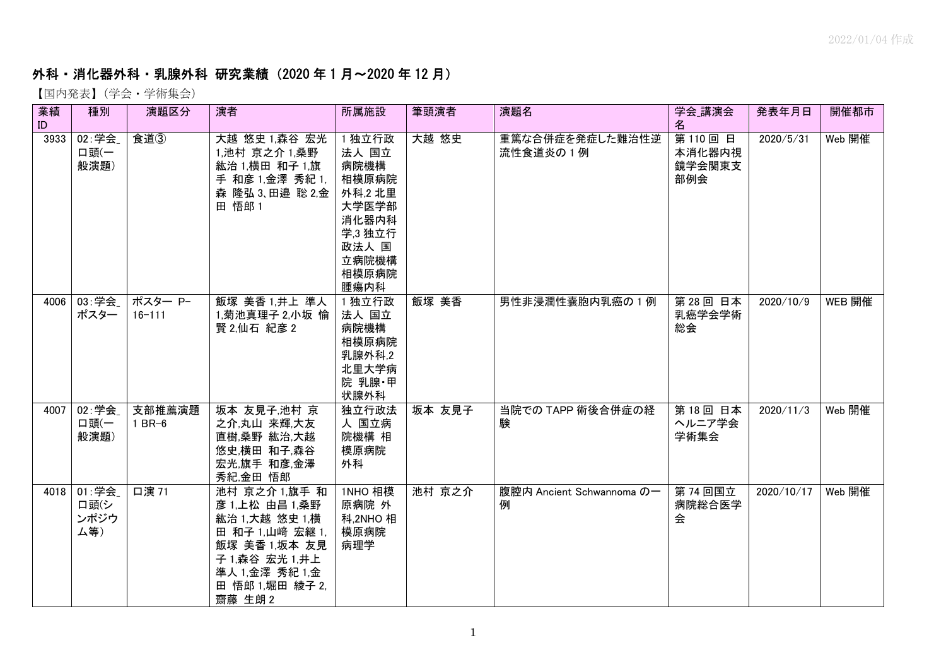## **外科・消化器外科・乳腺外科 研究業績(2020 年1月~2020 年 12 月)**<br>【国内発表】(学会・学術集会)

| 業績<br>ID | 種別                           | 演題区分                  | 演者                                                                                                                                                     | 所属施設                                                                                                        | 筆頭演者   | 演題名                            | 学会_講演会<br>名                       | 発表年月日      | 開催都市   |
|----------|------------------------------|-----------------------|--------------------------------------------------------------------------------------------------------------------------------------------------------|-------------------------------------------------------------------------------------------------------------|--------|--------------------------------|-----------------------------------|------------|--------|
| 3933     | 02:学会<br>ロ頭(一<br>般演題)        | 食道3                   | 大越 悠史 1,森谷 宏光<br>1,池村 京之介 1,桑野<br>紘治 1,横田 和子 1,旗<br>手 和彦 1,金澤 秀紀 1,<br>森 隆弘 3、田邉 聡 2,金<br>田 悟郎 1                                                       | 1 独立行政<br>法人 国立<br>病院機構<br>相模原病院<br>外科,2 北里<br>大学医学部<br>消化器内科<br>学,3 独立行<br>政法人 国<br>立病院機構<br>相模原病院<br>腫瘍内科 | 大越 悠史  | 重篤な合併症を発症した難治性逆<br>流性食道炎の1例    | 第110回日<br>本消化器内視<br>鏡学会関東支<br>部例会 | 2020/5/31  | Web 開催 |
| 4006     | 03: 学会<br>ポスター               | ポスター P-<br>$16 - 111$ | 飯塚 美香 1,井上 準人<br>1,菊池真理子 2,小坂 愉<br>賢 2,仙石紀彦 2                                                                                                          | 1 独立行政<br>法人 国立<br>病院機構<br>相模原病院<br>乳腺外科,2<br>北里大学病<br>院 乳腺・甲<br>状腺外科                                       | 飯塚 美香  | 男性非浸潤性囊胞内乳癌の1例                 | 第28回 日本<br>乳癌学会学術<br>総会           | 2020/10/9  | WEB 開催 |
| 4007     | 02:学会<br>ロ頭(一<br>般演題)        | 支部推薦演題<br>$1$ BR-6    | 坂本 友見子,池村 京<br>之介,丸山 来輝,大友<br>直樹,桑野 紘治,大越<br>悠史,横田 和子,森谷<br>宏光,旗手 和彦,金澤<br>秀紀,金田 悟郎                                                                    | 独立行政法<br>人 国立病<br>院機構 相<br>模原病院<br>外科                                                                       | 坂本 友見子 | 当院での TAPP 術後合併症の経<br>験         | 第18回 日本<br>ヘルニア学会<br>学術集会         | 2020/11/3  | Web 開催 |
| 4018     | 01:学会<br>口頭(シ<br>ンポジウ<br>ム等) | 口演 71                 | 池村 京之介 1.旗手 和<br>彦 1,上松 由昌 1,桑野<br>紘治 1,大越 悠史 1,横<br>田 和子 1,山崎 宏継 1,<br>飯塚 美香 1,坂本 友見<br>子 1,森谷 宏光 1,井上<br>準人 1,金澤 秀紀 1,金<br>田 悟郎 1,堀田 綾子 2,<br>齋藤 生朗2 | 1NHO 相模<br>原病院 外<br>科,2NHO相<br>模原病院<br>病理学                                                                  | 池村 京之介 | 腹腔内 Ancient Schwannoma の一<br>例 | 第 74 回国立<br>病院総合医学<br>会           | 2020/10/17 | Web 開催 |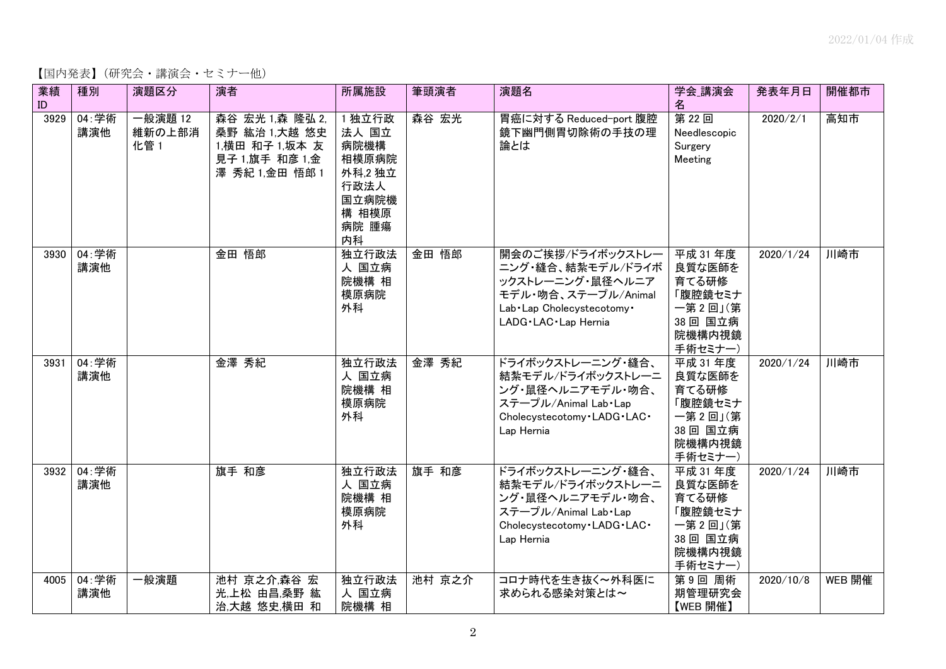【国内発表】(研究会・講演会・セミナー他)

| 業績<br>ID | 種別           | 演題区分                      | 演者                                                                                     | 所属施設                                                                                | 筆頭演者   | 演題名                                                                                                                                          | 学会_講演会<br>名                                                                        | 発表年月日     | 開催都市   |
|----------|--------------|---------------------------|----------------------------------------------------------------------------------------|-------------------------------------------------------------------------------------|--------|----------------------------------------------------------------------------------------------------------------------------------------------|------------------------------------------------------------------------------------|-----------|--------|
| 3929     | 04:学術<br>講演他 | 一般演題 12<br>維新の上部消<br>化管 1 | 森谷 宏光 1,森 隆弘 2,<br>桑野 紘治 1,大越 悠史<br>1,横田 和子 1,坂本 友<br>見子 1,旗手 和彦 1,金<br>澤 秀紀 1,金田 悟郎 1 | 1 独立行政<br>法人 国立<br>病院機構<br>相模原病院<br>外科,2独立<br>行政法人<br>国立病院機<br>構 相模原<br>病院 腫瘍<br>内科 | 森谷 宏光  | 胃癌に対する Reduced-port 腹腔<br>鏡下幽門側胃切除術の手技の理<br>論とは                                                                                              | 第22回<br>Needlescopic<br>Surgery<br>Meeting                                         | 2020/2/1  | 高知市    |
| 3930     | 04:学術<br>講演他 |                           | 金田 悟郎                                                                                  | 独立行政法<br>人 国立病<br>院機構 相<br>模原病院<br>外科                                               | 金田 悟郎  | 開会のご挨拶/ドライボックストレー<br>ニング・縫合、結紮モデル/ドライボ<br>ックストレーニング・鼠径ヘルニア<br>モデル·吻合、ステープル/Animal<br>Lab . Lap Cholecystecotomy .<br>LADG · LAC · Lap Hernia | 平成 31 年度<br>良質な医師を<br>育てる研修<br>「腹腔鏡セミナ<br>一第2回」(第<br>38 回 国立病<br>院機構内視鏡<br>手術セミナー) | 2020/1/24 | 川崎市    |
| 3931     | 04:学術<br>講演他 |                           | 金澤 秀紀                                                                                  | 独立行政法<br>人 国立病<br>院機構 相<br>模原病院<br>外科                                               | 金澤 秀紀  | ドライボックストレーニング・縫合、<br>結紮モデル/ドライボックストレーニ<br>ング・鼠径ヘルニアモデル・吻合、<br>ステープル/Animal Lab · Lap<br>Cholecystecotomy . LADG . LAC .<br>Lap Hernia        | 平成 31 年度<br>良質な医師を<br>育てる研修<br>「腹腔鏡セミナ<br>一第2回」(第<br>38 回 国立病<br>院機構内視鏡<br>手術セミナー) | 2020/1/24 | 川崎市    |
| 3932     | 04:学術<br>講演他 |                           | 旗手 和彦                                                                                  | 独立行政法<br>人 国立病<br>院機構 相<br>模原病院<br>外科                                               | 旗手 和彦  | ドライボックストレーニング・縫合、<br>結紮モデル/ドライボックストレーニ<br>ング・鼠径ヘルニアモデル・吻合、<br>ステープル/Animal Lab Lap<br>Cholecystecotomy . LADG . LAC .<br>Lap Hernia          | 平成 31 年度<br>良質な医師を<br>育てる研修<br>「腹腔鏡セミナ<br>一第2回」(第<br>38 回 国立病<br>院機構内視鏡<br>手術セミナー) | 2020/1/24 | 川崎市    |
| 4005     | 04:学術<br>講演他 | 一般演題                      | 池村 京之介,森谷 宏<br>光,上松 由昌,桑野 紘<br>治,大越 悠史,横田 和                                            | 独立行政法<br>人 国立病<br>院機構 相                                                             | 池村 京之介 | コロナ時代を生き抜く〜外科医に<br>求められる感染対策とは~                                                                                                              | 第9回周術<br>期管理研究会<br>【WEB 開催】                                                        | 2020/10/8 | WEB 開催 |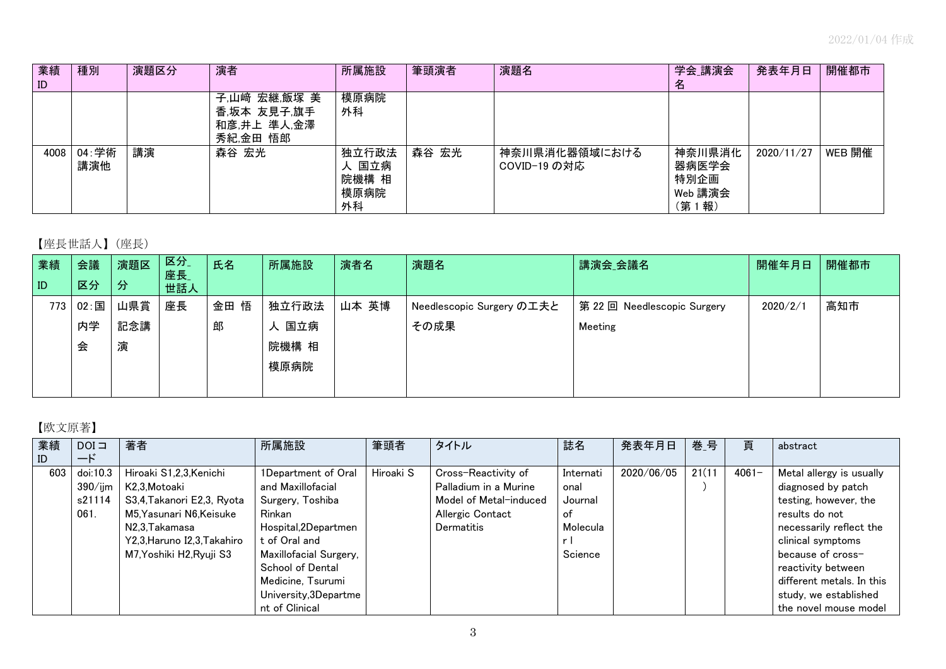| 業績<br>ID | 種別           | 演題区分 | 演者                                                     | 所属施設                                  | 筆頭演者  | 演題名                           | 学会_講演会<br>名                                 | 発表年月日      | 開催都市   |
|----------|--------------|------|--------------------------------------------------------|---------------------------------------|-------|-------------------------------|---------------------------------------------|------------|--------|
|          |              |      | 子,山﨑 宏継,飯塚 美<br>香,坂本 友見子,旗手<br>和彦,井上 準人,金澤<br>秀紀,金田 悟郎 | 模原病院<br>外科                            |       |                               |                                             |            |        |
| 4008     | 04:学術<br>講演他 | 講演   | 森谷 宏光                                                  | 独立行政法<br>人 国立病<br>院機構 相<br>模原病院<br>外科 | 森谷 宏光 | 神奈川県消化器領域における<br>COVID-19 の対応 | 神奈川県消化<br>器病医学会<br>特別企画<br>Web 講演会<br>(第1報) | 2020/11/27 | WEB 開催 |

## 【座長世話人】(座長)

| 業績  | 会議   | 演題区 | 区分<br>座長 | 氏名   | 所属施設     | 演者名   | 演題名                       | 講演会_会議名                   | 開催年月日    | 開催都市 |
|-----|------|-----|----------|------|----------|-------|---------------------------|---------------------------|----------|------|
| ID  | 区分   | 分   | 世話人      |      |          |       |                           |                           |          |      |
| 773 | 02:国 | 山県賞 | 座長       | 金田 悟 | 独立行政法    | 山本 英博 | Needlescopic Surgery の工夫と | 第22回 Needlescopic Surgery | 2020/2/1 | 高知市  |
|     | 内学   | 記念講 |          | 郎    | 国立病<br>⋏ |       | その成果                      | Meeting                   |          |      |
|     | 会    | 演   |          |      | 院機構 相    |       |                           |                           |          |      |
|     |      |     |          |      | 模原病院     |       |                           |                           |          |      |
|     |      |     |          |      |          |       |                           |                           |          |      |

## 【欧文原著】

| 業績        | $DOI \square$                               | 著者                                                                                                                                                                        | 所属施設                                                                                                                                                                                     | 筆頭者       | タイトル                                                                                                            | 誌名                                                        | 発表年月日      | 巻_号    | 頁        | abstract                                                                                                                                                                                                          |
|-----------|---------------------------------------------|---------------------------------------------------------------------------------------------------------------------------------------------------------------------------|------------------------------------------------------------------------------------------------------------------------------------------------------------------------------------------|-----------|-----------------------------------------------------------------------------------------------------------------|-----------------------------------------------------------|------------|--------|----------|-------------------------------------------------------------------------------------------------------------------------------------------------------------------------------------------------------------------|
| ID<br>603 | ード<br>doi:10.3<br>390/ijm<br>s21114<br>061. | Hiroaki S1,2,3,Kenichi<br>K2,3,Motoaki<br>S3,4,Takanori E2,3, Ryota<br>M5,Yasunari N6,Keisuke<br>N2,3,Takamasa<br>Y2,3, Haruno I2,3, Takahiro<br>M7, Yoshiki H2, Ryuji S3 | 1Department of Oral<br>and Maxillofacial<br>Surgery, Toshiba<br>Rinkan<br>Hospital,2Departmen<br>t of Oral and<br>Maxillofacial Surgery,<br><b>School of Dental</b><br>Medicine, Tsurumi | Hiroaki S | Cross-Reactivity of<br>Palladium in a Murine<br>Model of Metal-induced<br>Allergic Contact<br><b>Dermatitis</b> | Internati<br>onal<br>Journal<br>оf<br>Molecula<br>Science | 2020/06/05 | 21(11) | $4061 -$ | Metal allergy is usually<br>diagnosed by patch<br>testing, however, the<br>results do not<br>necessarily reflect the<br>clinical symptoms<br>because of cross-<br>reactivity between<br>different metals. In this |
|           |                                             |                                                                                                                                                                           | University, 3Departme<br>nt of Clinical                                                                                                                                                  |           |                                                                                                                 |                                                           |            |        |          | study, we established<br>the novel mouse model                                                                                                                                                                    |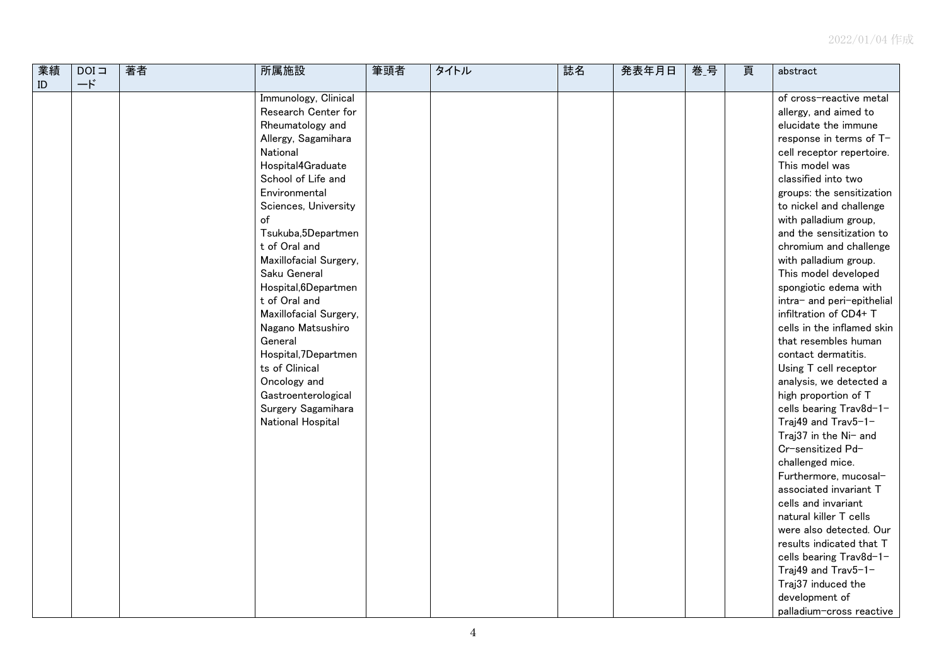| 業績            | $DOI =$   | 著者 | 所属施設                   | 筆頭者 | タイトル | 誌名 | 発表年月日 | 巻_号 | 頁 | abstract                   |
|---------------|-----------|----|------------------------|-----|------|----|-------|-----|---|----------------------------|
| $\mathsf{ID}$ | $-\kappa$ |    |                        |     |      |    |       |     |   |                            |
|               |           |    | Immunology, Clinical   |     |      |    |       |     |   | of cross-reactive metal    |
|               |           |    | Research Center for    |     |      |    |       |     |   | allergy, and aimed to      |
|               |           |    | Rheumatology and       |     |      |    |       |     |   | elucidate the immune       |
|               |           |    | Allergy, Sagamihara    |     |      |    |       |     |   | response in terms of T-    |
|               |           |    | National               |     |      |    |       |     |   | cell receptor repertoire.  |
|               |           |    | Hospital4Graduate      |     |      |    |       |     |   | This model was             |
|               |           |    | School of Life and     |     |      |    |       |     |   | classified into two        |
|               |           |    | Environmental          |     |      |    |       |     |   | groups: the sensitization  |
|               |           |    | Sciences, University   |     |      |    |       |     |   | to nickel and challenge    |
|               |           |    | of                     |     |      |    |       |     |   | with palladium group,      |
|               |           |    | Tsukuba,5Departmen     |     |      |    |       |     |   | and the sensitization to   |
|               |           |    | t of Oral and          |     |      |    |       |     |   | chromium and challenge     |
|               |           |    | Maxillofacial Surgery, |     |      |    |       |     |   | with palladium group.      |
|               |           |    | Saku General           |     |      |    |       |     |   | This model developed       |
|               |           |    | Hospital, 6Departmen   |     |      |    |       |     |   | spongiotic edema with      |
|               |           |    | t of Oral and          |     |      |    |       |     |   | intra- and peri-epithelial |
|               |           |    | Maxillofacial Surgery, |     |      |    |       |     |   | infiltration of CD4+ T     |
|               |           |    | Nagano Matsushiro      |     |      |    |       |     |   | cells in the inflamed skin |
|               |           |    | General                |     |      |    |       |     |   | that resembles human       |
|               |           |    | Hospital, 7Departmen   |     |      |    |       |     |   | contact dermatitis.        |
|               |           |    | ts of Clinical         |     |      |    |       |     |   | Using T cell receptor      |
|               |           |    | Oncology and           |     |      |    |       |     |   | analysis, we detected a    |
|               |           |    | Gastroenterological    |     |      |    |       |     |   | high proportion of T       |
|               |           |    | Surgery Sagamihara     |     |      |    |       |     |   | cells bearing Trav8d-1-    |
|               |           |    | National Hospital      |     |      |    |       |     |   | Traj49 and Trav5-1-        |
|               |           |    |                        |     |      |    |       |     |   | Traj37 in the Ni- and      |
|               |           |    |                        |     |      |    |       |     |   | Cr-sensitized Pd-          |
|               |           |    |                        |     |      |    |       |     |   | challenged mice.           |
|               |           |    |                        |     |      |    |       |     |   | Furthermore, mucosal-      |
|               |           |    |                        |     |      |    |       |     |   | associated invariant T     |
|               |           |    |                        |     |      |    |       |     |   | cells and invariant        |
|               |           |    |                        |     |      |    |       |     |   | natural killer T cells     |
|               |           |    |                        |     |      |    |       |     |   | were also detected. Our    |
|               |           |    |                        |     |      |    |       |     |   | results indicated that T   |
|               |           |    |                        |     |      |    |       |     |   | cells bearing Trav8d-1-    |
|               |           |    |                        |     |      |    |       |     |   | Traj49 and Trav5-1-        |
|               |           |    |                        |     |      |    |       |     |   | Traj37 induced the         |
|               |           |    |                        |     |      |    |       |     |   | development of             |
|               |           |    |                        |     |      |    |       |     |   | palladium-cross reactive   |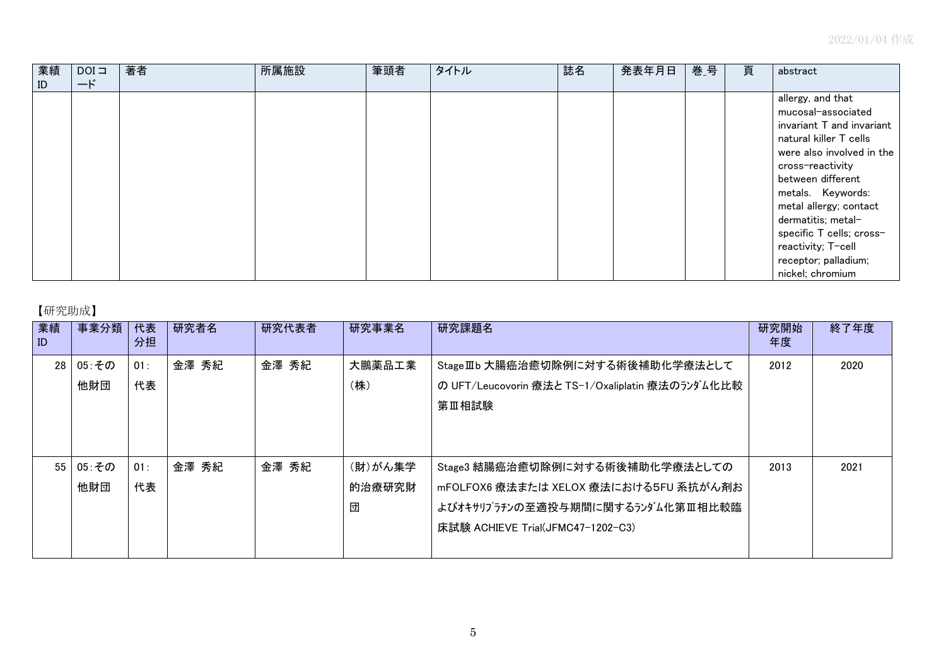| 業績 | $DOI =$   | 著者 | 所属施設 | 筆頭者 | タイトル | 誌名 | 発表年月日 | 巻 号 | 頁 | abstract                  |
|----|-----------|----|------|-----|------|----|-------|-----|---|---------------------------|
| ID | $-\kappa$ |    |      |     |      |    |       |     |   |                           |
|    |           |    |      |     |      |    |       |     |   | allergy, and that         |
|    |           |    |      |     |      |    |       |     |   | mucosal-associated        |
|    |           |    |      |     |      |    |       |     |   | invariant T and invariant |
|    |           |    |      |     |      |    |       |     |   | natural killer T cells    |
|    |           |    |      |     |      |    |       |     |   | were also involved in the |
|    |           |    |      |     |      |    |       |     |   | cross-reactivity          |
|    |           |    |      |     |      |    |       |     |   | between different         |
|    |           |    |      |     |      |    |       |     |   | metals. Keywords:         |
|    |           |    |      |     |      |    |       |     |   | metal allergy; contact    |
|    |           |    |      |     |      |    |       |     |   | dermatitis; metal-        |
|    |           |    |      |     |      |    |       |     |   | specific T cells; cross-  |
|    |           |    |      |     |      |    |       |     |   | reactivity; T-cell        |
|    |           |    |      |     |      |    |       |     |   | receptor; palladium;      |
|    |           |    |      |     |      |    |       |     |   | nickel; chromium          |

## 【研究助成】

| 業績<br>ID | 事業分類         | 代表<br>分担  | 研究者名  | 研究代表者 | 研究事業名                  | 研究課題名                                                                                                                                             | 研究開始<br>年度 | 終了年度 |
|----------|--------------|-----------|-------|-------|------------------------|---------------------------------------------------------------------------------------------------------------------------------------------------|------------|------|
| 28       | 05:その<br>他財団 | 01:<br>代表 | 金澤 秀紀 | 金澤 秀紀 | 大鵬薬品工業<br>(株)          | Stage IIb 大腸癌治癒切除例に対する術後補助化学療法として<br>の UFT/Leucovorin 療法と TS-1/Oxaliplatin 療法のランダム化比較<br>第Ⅲ相試験                                                    | 2012       | 2020 |
| 55       | 05:その<br>他財団 | 01:<br>代表 | 金澤 秀紀 | 金澤 秀紀 | (財)がん集学<br>的治療研究財<br>団 | Stage3 結腸癌治癒切除例に対する術後補助化学療法としての<br>mFOLFOX6 療法または XELOX 療法における5FU 系抗がん剤お<br>よびオキサリプラチンの至適投与期間に関するランダム化第Ⅲ相比較臨<br>床試験 ACHIEVE Trial(JFMC47-1202-C3) | 2013       | 2021 |